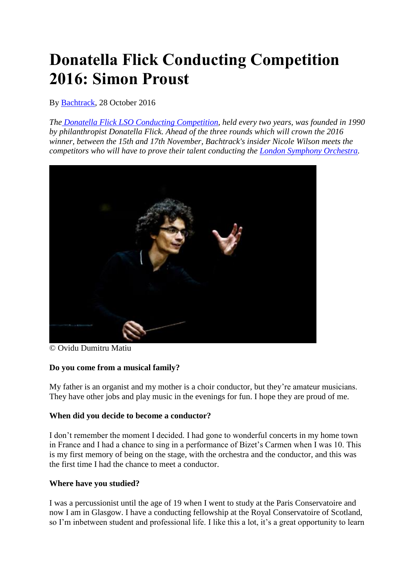# **Donatella Flick Conducting Competition 2016: Simon Proust**

By [Bachtrack,](https://bachtrack.com/22/270/list-published/14992) 28 October 2016

*The [Donatella Flick LSO Conducting Competition,](https://bachtrack.com/guide-donatella-flick-conducting-competition-2016) held every two years, was founded in 1990 by philanthropist Donatella Flick. Ahead of the three rounds which will crown the 2016 winner, between the 15th and 17th November, Bachtrack's insider Nicole Wilson meets the competitors who will have to prove their talent conducting the [London Symphony Orchestra.](https://bachtrack.com/performer/london-symphony-orchestra?utm_source=article_body&utm_medium=internal)*



© Ovidu Dumitru Matiu

## **Do you come from a musical family?**

My father is an organist and my mother is a choir conductor, but they're amateur musicians. They have other jobs and play music in the evenings for fun. I hope they are proud of me.

## **When did you decide to become a conductor?**

I don't remember the moment I decided. I had gone to wonderful concerts in my home town in France and I had a chance to sing in a performance of Bizet's Carmen when I was 10. This is my first memory of being on the stage, with the orchestra and the conductor, and this was the first time I had the chance to meet a conductor.

## **Where have you studied?**

I was a percussionist until the age of 19 when I went to study at the Paris Conservatoire and now I am in Glasgow. I have a conducting fellowship at the Royal Conservatoire of Scotland, so I'm inbetween student and professional life. I like this a lot, it's a great opportunity to learn